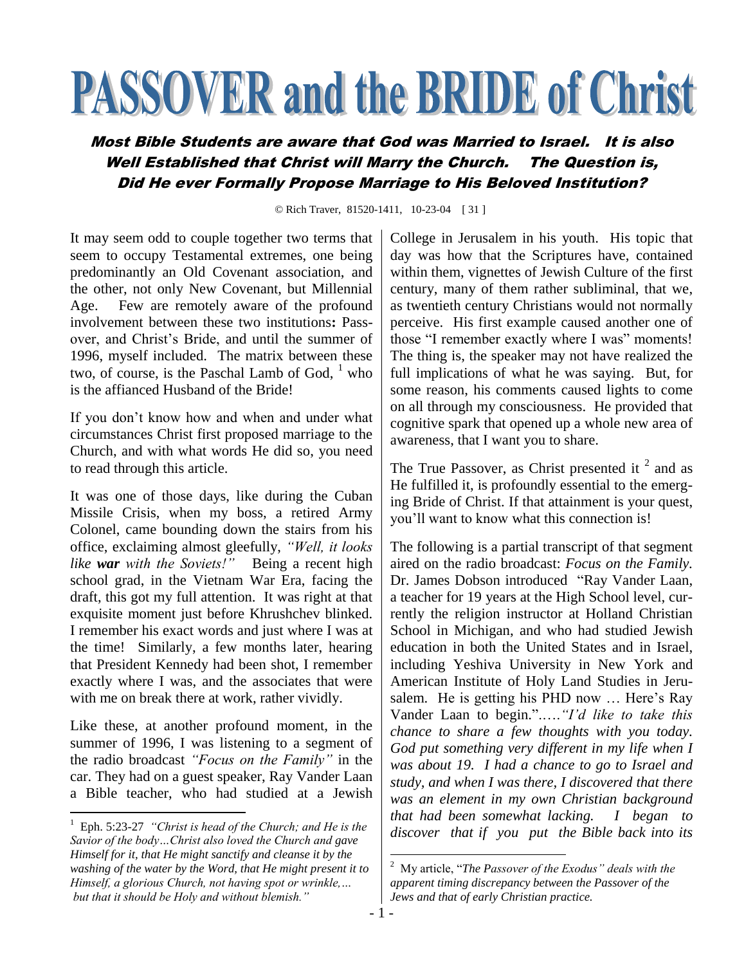## **PASSOVER and the BRIDE of Christ**

## Most Bible Students are aware that God was Married to Israel. It is also Well Established that Christ will Marry the Church. The Question is, Did He ever Formally Propose Marriage to His Beloved Institution?

© Rich Traver, 81520-1411, 10-23-04 [ 31 ]

It may seem odd to couple together two terms that seem to occupy Testamental extremes, one being predominantly an Old Covenant association, and the other, not only New Covenant, but Millennial Age. Few are remotely aware of the profound involvement between these two institutions**:** Passover, and Christ"s Bride, and until the summer of 1996, myself included. The matrix between these two, of course, is the Paschal Lamb of God,  $<sup>1</sup>$  who</sup> is the affianced Husband of the Bride!

If you don"t know how and when and under what circumstances Christ first proposed marriage to the Church, and with what words He did so, you need to read through this article.

It was one of those days, like during the Cuban Missile Crisis, when my boss, a retired Army Colonel, came bounding down the stairs from his office, exclaiming almost gleefully, *"Well, it looks like war with the Soviets!"* Being a recent high school grad, in the Vietnam War Era, facing the draft, this got my full attention. It was right at that exquisite moment just before Khrushchev blinked. I remember his exact words and just where I was at the time! Similarly, a few months later, hearing that President Kennedy had been shot, I remember exactly where I was, and the associates that were with me on break there at work, rather vividly.

Like these, at another profound moment, in the summer of 1996, I was listening to a segment of the radio broadcast *"Focus on the Family"* in the car. They had on a guest speaker, Ray Vander Laan a Bible teacher, who had studied at a Jewish

 $\overline{a}$ 

College in Jerusalem in his youth. His topic that day was how that the Scriptures have, contained within them, vignettes of Jewish Culture of the first century, many of them rather subliminal, that we, as twentieth century Christians would not normally perceive. His first example caused another one of those "I remember exactly where I was" moments! The thing is, the speaker may not have realized the full implications of what he was saying. But, for some reason, his comments caused lights to come on all through my consciousness. He provided that cognitive spark that opened up a whole new area of awareness, that I want you to share.

The True Passover, as Christ presented it  $2$  and as He fulfilled it, is profoundly essential to the emerging Bride of Christ. If that attainment is your quest, you"ll want to know what this connection is!

The following is a partial transcript of that segment aired on the radio broadcast: *Focus on the Family.*  Dr. James Dobson introduced "Ray Vander Laan, a teacher for 19 years at the High School level, currently the religion instructor at Holland Christian School in Michigan, and who had studied Jewish education in both the United States and in Israel, including Yeshiva University in New York and American Institute of Holy Land Studies in Jerusalem. He is getting his PHD now ... Here's Ray Vander Laan to begin.".….*"I'd like to take this chance to share a few thoughts with you today. God put something very different in my life when I was about 19. I had a chance to go to Israel and study, and when I was there, I discovered that there was an element in my own Christian background that had been somewhat lacking. I began to discover that if you put the Bible back into its* 

<sup>&</sup>lt;sup>1</sup> Eph. 5:23-27 *"Christ is head of the Church; and He is the Savior of the body…Christ also loved the Church and gave Himself for it, that He might sanctify and cleanse it by the washing of the water by the Word, that He might present it to Himself, a glorious Church, not having spot or wrinkle,… but that it should be Holy and without blemish."*

 2 My article, "*The Passover of the Exodus" deals with the apparent timing discrepancy between the Passover of the Jews and that of early Christian practice.*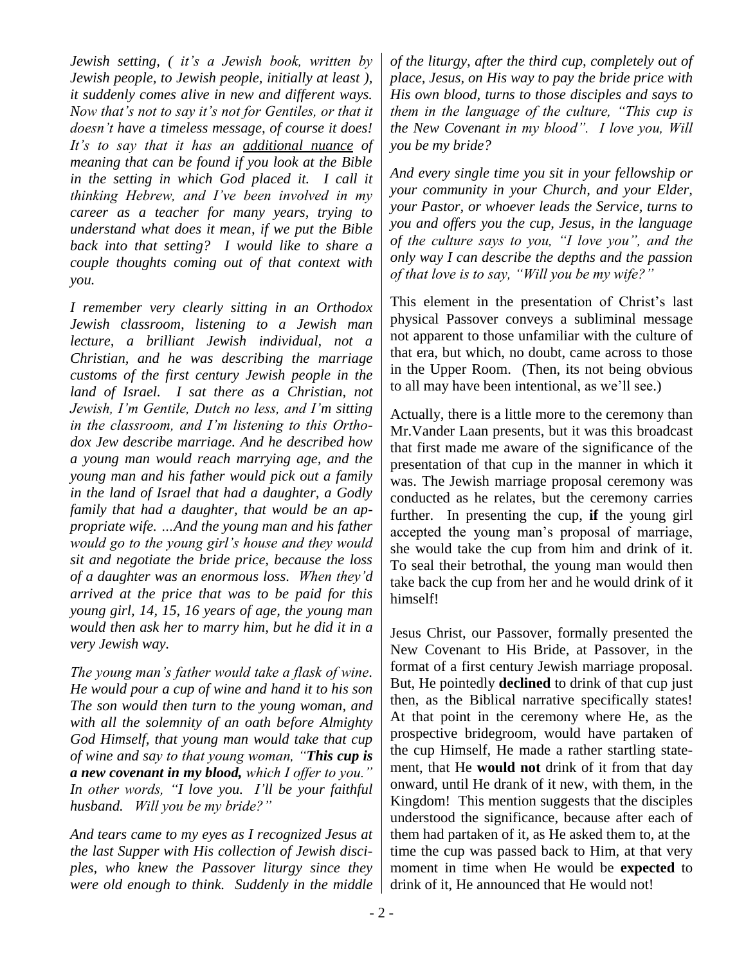*Jewish setting, ( it's a Jewish book, written by Jewish people, to Jewish people, initially at least ), it suddenly comes alive in new and different ways. Now that's not to say it's not for Gentiles, or that it doesn't have a timeless message, of course it does! It's to say that it has an additional nuance of meaning that can be found if you look at the Bible in the setting in which God placed it. I call it thinking Hebrew, and I've been involved in my career as a teacher for many years, trying to understand what does it mean, if we put the Bible back into that setting? I would like to share a couple thoughts coming out of that context with you.*

*I remember very clearly sitting in an Orthodox Jewish classroom, listening to a Jewish man lecture, a brilliant Jewish individual, not a Christian, and he was describing the marriage customs of the first century Jewish people in the land of Israel. I sat there as a Christian, not Jewish, I'm Gentile, Dutch no less, and I'm sitting in the classroom, and I'm listening to this Orthodox Jew describe marriage. And he described how a young man would reach marrying age, and the young man and his father would pick out a family in the land of Israel that had a daughter, a Godly family that had a daughter, that would be an appropriate wife. …And the young man and his father would go to the young girl's house and they would sit and negotiate the bride price, because the loss of a daughter was an enormous loss. When they'd arrived at the price that was to be paid for this young girl, 14, 15, 16 years of age, the young man would then ask her to marry him, but he did it in a very Jewish way.* 

*The young man's father would take a flask of wine. He would pour a cup of wine and hand it to his son The son would then turn to the young woman, and with all the solemnity of an oath before Almighty God Himself, that young man would take that cup of wine and say to that young woman, "This cup is a new covenant in my blood, which I offer to you." In other words, "I love you. I'll be your faithful husband. Will you be my bride?"*

*And tears came to my eyes as I recognized Jesus at the last Supper with His collection of Jewish disciples, who knew the Passover liturgy since they were old enough to think. Suddenly in the middle* 

*of the liturgy, after the third cup, completely out of place, Jesus, on His way to pay the bride price with His own blood, turns to those disciples and says to them in the language of the culture, "This cup is the New Covenant in my blood". I love you, Will you be my bride?* 

*And every single time you sit in your fellowship or your community in your Church, and your Elder, your Pastor, or whoever leads the Service, turns to you and offers you the cup, Jesus, in the language of the culture says to you, "I love you", and the only way I can describe the depths and the passion of that love is to say, "Will you be my wife?"*

This element in the presentation of Christ's last physical Passover conveys a subliminal message not apparent to those unfamiliar with the culture of that era, but which, no doubt, came across to those in the Upper Room. (Then, its not being obvious to all may have been intentional, as we"ll see.)

Actually, there is a little more to the ceremony than Mr.Vander Laan presents, but it was this broadcast that first made me aware of the significance of the presentation of that cup in the manner in which it was. The Jewish marriage proposal ceremony was conducted as he relates, but the ceremony carries further. In presenting the cup, **if** the young girl accepted the young man"s proposal of marriage, she would take the cup from him and drink of it. To seal their betrothal, the young man would then take back the cup from her and he would drink of it himself!

Jesus Christ, our Passover, formally presented the New Covenant to His Bride, at Passover, in the format of a first century Jewish marriage proposal. But, He pointedly **declined** to drink of that cup just then, as the Biblical narrative specifically states! At that point in the ceremony where He, as the prospective bridegroom, would have partaken of the cup Himself, He made a rather startling statement, that He **would not** drink of it from that day onward, until He drank of it new, with them, in the Kingdom! This mention suggests that the disciples understood the significance, because after each of them had partaken of it, as He asked them to, at the time the cup was passed back to Him, at that very moment in time when He would be **expected** to drink of it, He announced that He would not!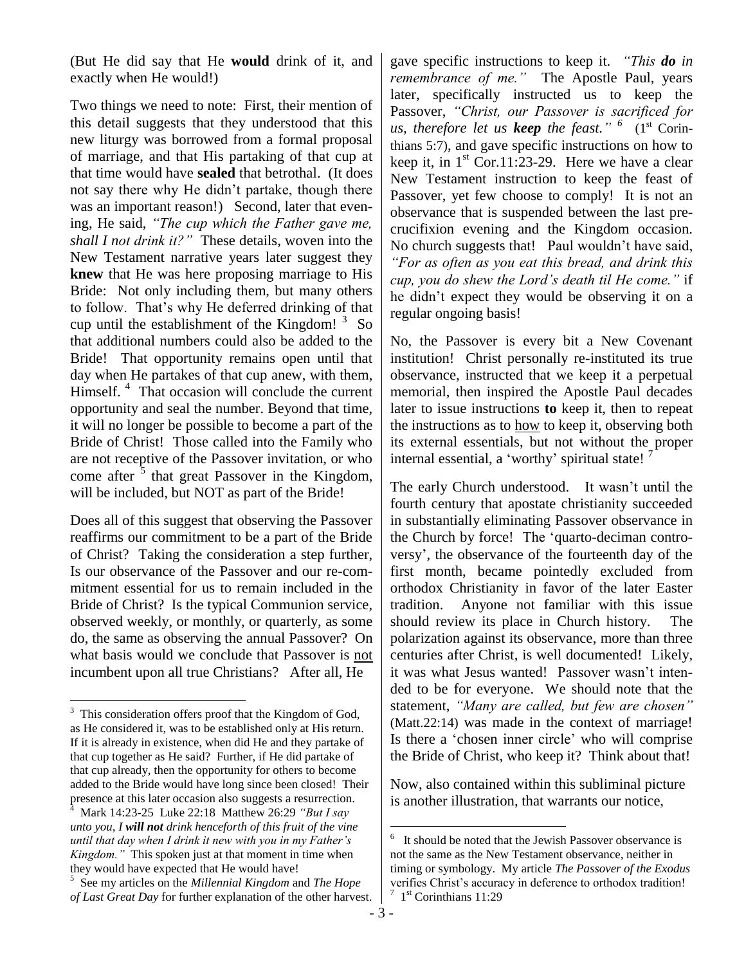(But He did say that He **would** drink of it, and exactly when He would!)

Two things we need to note: First, their mention of this detail suggests that they understood that this new liturgy was borrowed from a formal proposal of marriage, and that His partaking of that cup at that time would have **sealed** that betrothal. (It does not say there why He didn"t partake, though there was an important reason!) Second, later that evening, He said, *"The cup which the Father gave me, shall I not drink it?"* These details, woven into the New Testament narrative years later suggest they **knew** that He was here proposing marriage to His Bride: Not only including them, but many others to follow. That"s why He deferred drinking of that cup until the establishment of the Kingdom!  $3\text{ So}$ that additional numbers could also be added to the Bride! That opportunity remains open until that day when He partakes of that cup anew, with them, Himself.<sup>4</sup> That occasion will conclude the current opportunity and seal the number. Beyond that time, it will no longer be possible to become a part of the Bride of Christ! Those called into the Family who are not receptive of the Passover invitation, or who come after  $\frac{3}{5}$  that great Passover in the Kingdom, will be included, but NOT as part of the Bride!

Does all of this suggest that observing the Passover reaffirms our commitment to be a part of the Bride of Christ? Taking the consideration a step further, Is our observance of the Passover and our re-commitment essential for us to remain included in the Bride of Christ? Is the typical Communion service, observed weekly, or monthly, or quarterly, as some do, the same as observing the annual Passover? On what basis would we conclude that Passover is not incumbent upon all true Christians? After all, He

 $\overline{a}$ 

gave specific instructions to keep it. *"This do in remembrance of me."* The Apostle Paul, years later, specifically instructed us to keep the Passover, *"Christ, our Passover is sacrificed for us, therefore let us <i>keep* the feast." <sup>6</sup> (1<sup>st</sup> Corinthians 5:7), and gave specific instructions on how to keep it, in  $1^{st}$  Cor.11:23-29. Here we have a clear New Testament instruction to keep the feast of Passover, yet few choose to comply! It is not an observance that is suspended between the last precrucifixion evening and the Kingdom occasion. No church suggests that! Paul wouldn't have said, *"For as often as you eat this bread, and drink this cup, you do shew the Lord's death til He come."* if he didn"t expect they would be observing it on a regular ongoing basis!

No, the Passover is every bit a New Covenant institution! Christ personally re-instituted its true observance, instructed that we keep it a perpetual memorial, then inspired the Apostle Paul decades later to issue instructions **to** keep it, then to repeat the instructions as to how to keep it, observing both its external essentials, but not without the proper internal essential, a 'worthy' spiritual state!

The early Church understood. It wasn't until the fourth century that apostate christianity succeeded in substantially eliminating Passover observance in the Church by force! The "quarto-deciman controversy", the observance of the fourteenth day of the first month, became pointedly excluded from orthodox Christianity in favor of the later Easter tradition. Anyone not familiar with this issue should review its place in Church history. The polarization against its observance, more than three centuries after Christ, is well documented! Likely, it was what Jesus wanted! Passover wasn"t intended to be for everyone. We should note that the statement, *"Many are called, but few are chosen"*  (Matt.22:14) was made in the context of marriage! Is there a "chosen inner circle" who will comprise the Bride of Christ, who keep it? Think about that!

Now, also contained within this subliminal picture is another illustration, that warrants our notice,

<sup>&</sup>lt;sup>3</sup> This consideration offers proof that the Kingdom of God, as He considered it, was to be established only at His return. If it is already in existence, when did He and they partake of that cup together as He said? Further, if He did partake of that cup already, then the opportunity for others to become added to the Bride would have long since been closed! Their presence at this later occasion also suggests a resurrection.

<sup>4</sup> Mark 14:23-25 Luke 22:18 Matthew 26:29 *"But I say unto you, I will not drink henceforth of this fruit of the vine until that day when I drink it new with you in my Father's Kingdom."* This spoken just at that moment in time when they would have expected that He would have!

<sup>5</sup> See my articles on the *Millennial Kingdom* and *The Hope of Last Great Day* for further explanation of the other harvest.

 $\frac{1}{6}$  It should be noted that the Jewish Passover observance is not the same as the New Testament observance, neither in timing or symbology. My article *The Passover of the Exodus* verifies Christ's accuracy in deference to orthodox tradition!  $7 \text{ } 1^{\text{st}}$  Corinthians 11:29